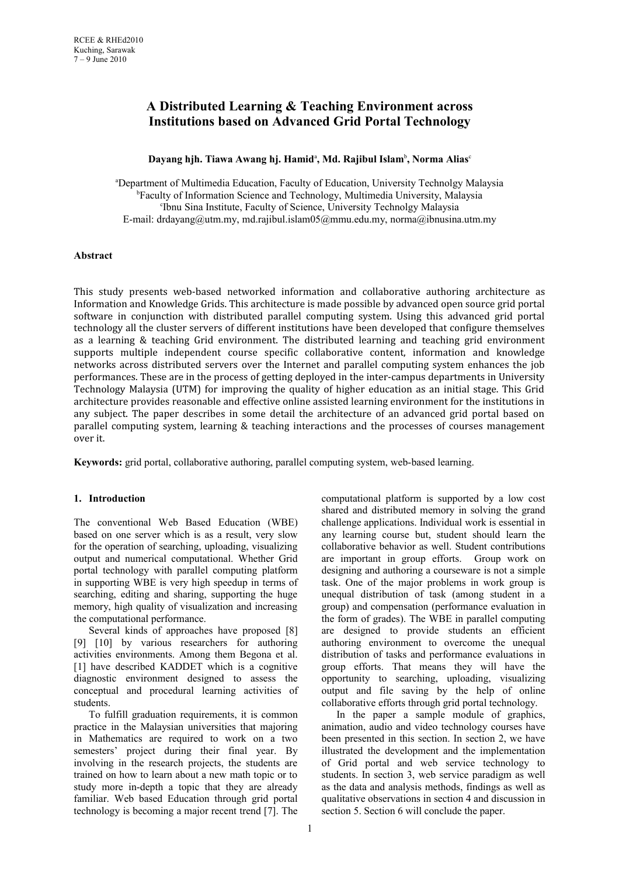# **A Distributed Learning & Teaching Environment across Institutions based on Advanced Grid Portal Technology**

#### **Dayang hjh. Tiawa Awang hj. Hamid**<sup>a</sup> **, Md. Rajibul Islam**<sup>b</sup> **, Norma Alias**<sup>c</sup>

<sup>a</sup>Department of Multimedia Education, Faculty of Education, University Technolgy Malaysia <sup>b</sup>Faculty of Information Science and Technology, Multimedia University, Malaysia c Ibnu Sina Institute, Faculty of Science, University Technolgy Malaysia E-mail: drdayang@utm.my, md.rajibul.islam05@mmu.edu.my, norma@ibnusina.utm.my

#### **Abstract**

This study presents web-based networked information and collaborative authoring architecture as Information and Knowledge Grids. This architecture is made possible by advanced open source grid portal software in conjunction with distributed parallel computing system. Using this advanced grid portal technology all the cluster servers of different institutions have been developed that configure themselves as a learning & teaching Grid environment. The distributed learning and teaching grid environment supports multiple independent course specific collaborative content, information and knowledge networks across distributed servers over the Internet and parallel computing system enhances the job performances. These are in the process of getting deployed in the inter-campus departments in University Technology Malaysia (UTM) for improving the quality of higher education as an initial stage. This Grid architecture provides reasonable and effective online assisted learning environment for the institutions in any subject. The paper describes in some detail the architecture of an advanced grid portal based on parallel computing system, learning & teaching interactions and the processes of courses management over it.

**Keywords:** grid portal, collaborative authoring, parallel computing system, web-based learning.

## **1. Introduction**

The conventional Web Based Education (WBE) based on one server which is as a result, very slow for the operation of searching, uploading, visualizing output and numerical computational. Whether Grid portal technology with parallel computing platform in supporting WBE is very high speedup in terms of searching, editing and sharing, supporting the huge memory, high quality of visualization and increasing the computational performance.

Several kinds of approaches have proposed [8] [9] [10] by various researchers for authoring activities environments. Among them Begona et al. [1] have described KADDET which is a cognitive diagnostic environment designed to assess the conceptual and procedural learning activities of students.

To fulfill graduation requirements, it is common practice in the Malaysian universities that majoring in Mathematics are required to work on a two semesters' project during their final year. By involving in the research projects, the students are trained on how to learn about a new math topic or to study more in-depth a topic that they are already familiar. Web based Education through grid portal technology is becoming a major recent trend [7]. The

computational platform is supported by a low cost shared and distributed memory in solving the grand challenge applications. Individual work is essential in any learning course but, student should learn the collaborative behavior as well. Student contributions are important in group efforts. Group work on designing and authoring a courseware is not a simple task. One of the major problems in work group is unequal distribution of task (among student in a group) and compensation (performance evaluation in the form of grades). The WBE in parallel computing are designed to provide students an efficient authoring environment to overcome the unequal distribution of tasks and performance evaluations in group efforts. That means they will have the opportunity to searching, uploading, visualizing output and file saving by the help of online collaborative efforts through grid portal technology.

In the paper a sample module of graphics, animation, audio and video technology courses have been presented in this section. In section 2, we have illustrated the development and the implementation of Grid portal and web service technology to students. In section 3, web service paradigm as well as the data and analysis methods, findings as well as qualitative observations in section 4 and discussion in section 5. Section 6 will conclude the paper.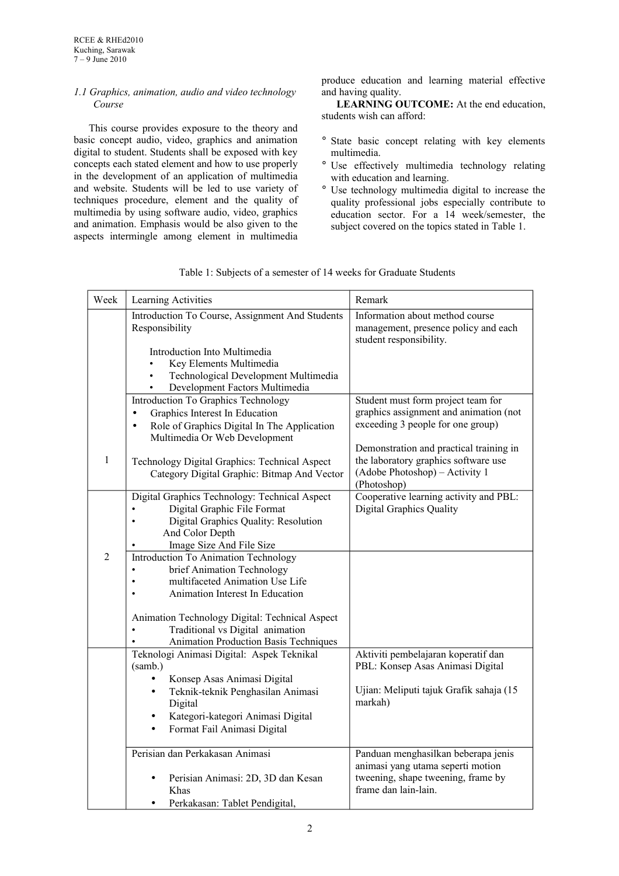## *1.1 Graphics, animation, audio and video technology Course*

This course provides exposure to the theory and basic concept audio, video, graphics and animation digital to student. Students shall be exposed with key concepts each stated element and how to use properly in the development of an application of multimedia and website. Students will be led to use variety of techniques procedure, element and the quality of multimedia by using software audio, video, graphics and animation. Emphasis would be also given to the aspects intermingle among element in multimedia produce education and learning material effective and having quality.

LEARNING OUTCOME: At the end education, students wish can afford:

- ° State basic concept relating with key elements multimedia.
- ° Use effectively multimedia technology relating with education and learning.
- ° Use technology multimedia digital to increase the quality professional jobs especially contribute to education sector. For a 14 week/semester, the subject covered on the topics stated in Table 1.

| Week           | Learning Activities                                                                       | Remark                                                                                             |
|----------------|-------------------------------------------------------------------------------------------|----------------------------------------------------------------------------------------------------|
|                | Introduction To Course, Assignment And Students<br>Responsibility                         | Information about method course<br>management, presence policy and each<br>student responsibility. |
|                | Introduction Into Multimedia                                                              |                                                                                                    |
|                | Key Elements Multimedia<br>Technological Development Multimedia                           |                                                                                                    |
|                | Development Factors Multimedia                                                            |                                                                                                    |
|                | Introduction To Graphics Technology                                                       | Student must form project team for                                                                 |
|                | Graphics Interest In Education<br>$\bullet$                                               | graphics assignment and animation (not<br>exceeding 3 people for one group)                        |
|                | Role of Graphics Digital In The Application<br>$\bullet$<br>Multimedia Or Web Development |                                                                                                    |
|                |                                                                                           | Demonstration and practical training in                                                            |
| $\mathbf{1}$   | Technology Digital Graphics: Technical Aspect                                             | the laboratory graphics software use<br>(Adobe Photoshop) - Activity 1                             |
|                | Category Digital Graphic: Bitmap And Vector                                               | (Photoshop)                                                                                        |
|                | Digital Graphics Technology: Technical Aspect                                             | Cooperative learning activity and PBL:                                                             |
|                | Digital Graphic File Format<br>Digital Graphics Quality: Resolution<br>$\bullet$          | <b>Digital Graphics Quality</b>                                                                    |
|                | And Color Depth                                                                           |                                                                                                    |
|                | Image Size And File Size                                                                  |                                                                                                    |
| $\overline{2}$ | Introduction To Animation Technology<br>$\bullet$                                         |                                                                                                    |
|                | brief Animation Technology<br>multifaceted Animation Use Life<br>$\bullet$                |                                                                                                    |
|                | Animation Interest In Education<br>$\bullet$                                              |                                                                                                    |
|                |                                                                                           |                                                                                                    |
|                | Animation Technology Digital: Technical Aspect<br>Traditional vs Digital animation        |                                                                                                    |
|                | Animation Production Basis Techniques                                                     |                                                                                                    |
|                | Teknologi Animasi Digital: Aspek Teknikal                                                 | Aktiviti pembelajaran koperatif dan                                                                |
|                | (samb.)                                                                                   | PBL: Konsep Asas Animasi Digital                                                                   |
|                | Konsep Asas Animasi Digital<br>Teknik-teknik Penghasilan Animasi<br>$\bullet$             | Ujian: Meliputi tajuk Grafik sahaja (15                                                            |
|                | Digital                                                                                   | markah)                                                                                            |
|                | Kategori-kategori Animasi Digital<br>$\bullet$                                            |                                                                                                    |
|                | Format Fail Animasi Digital                                                               |                                                                                                    |
|                | Perisian dan Perkakasan Animasi                                                           | Panduan menghasilkan beberapa jenis                                                                |
|                |                                                                                           | animasi yang utama seperti motion                                                                  |
|                | Perisian Animasi: 2D, 3D dan Kesan                                                        | tweening, shape tweening, frame by<br>frame dan lain-lain.                                         |
|                | Khas<br>Perkakasan: Tablet Pendigital,                                                    |                                                                                                    |

# Table 1: Subjects of a semester of 14 weeks for Graduate Students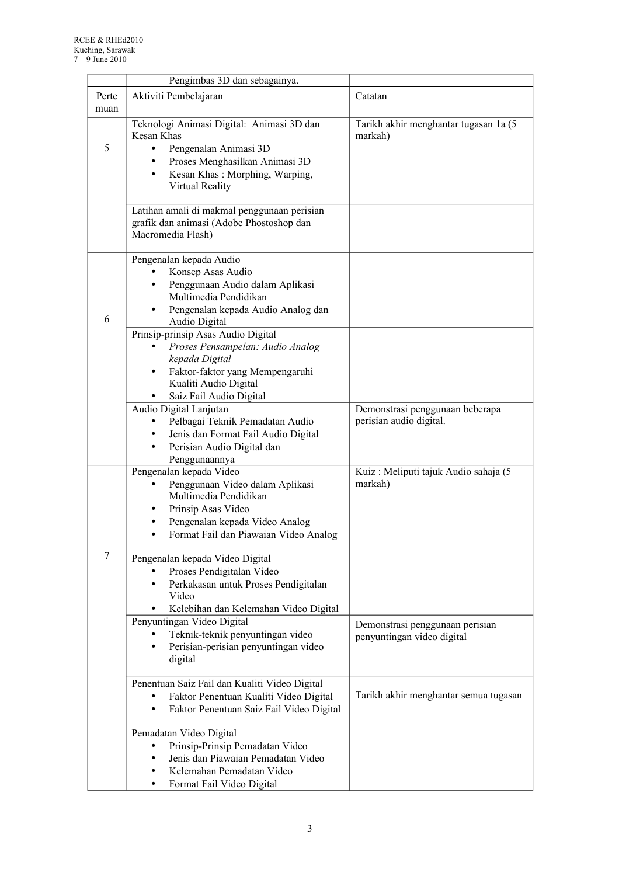|               | Pengimbas 3D dan sebagainya.                                          |                                                               |
|---------------|-----------------------------------------------------------------------|---------------------------------------------------------------|
| Perte<br>muan | Aktiviti Pembelajaran                                                 | Catatan                                                       |
| 5             | Teknologi Animasi Digital: Animasi 3D dan<br>Kesan Khas               | Tarikh akhir menghantar tugasan 1a (5<br>markah)              |
|               | Pengenalan Animasi 3D<br>Proses Menghasilkan Animasi 3D               |                                                               |
|               | Kesan Khas: Morphing, Warping,<br>$\bullet$                           |                                                               |
|               | Virtual Reality                                                       |                                                               |
|               | Latihan amali di makmal penggunaan perisian                           |                                                               |
|               | grafik dan animasi (Adobe Phostoshop dan<br>Macromedia Flash)         |                                                               |
|               | Pengenalan kepada Audio                                               |                                                               |
|               | Konsep Asas Audio                                                     |                                                               |
|               | Penggunaan Audio dalam Aplikasi<br>$\bullet$<br>Multimedia Pendidikan |                                                               |
| 6             | Pengenalan kepada Audio Analog dan<br>Audio Digital                   |                                                               |
|               | Prinsip-prinsip Asas Audio Digital                                    |                                                               |
|               | Proses Pensampelan: Audio Analog                                      |                                                               |
|               | kepada Digital                                                        |                                                               |
|               | Faktor-faktor yang Mempengaruhi<br>٠                                  |                                                               |
|               | Kualiti Audio Digital<br>Saiz Fail Audio Digital                      |                                                               |
|               | Audio Digital Lanjutan                                                | Demonstrasi penggunaan beberapa                               |
|               | Pelbagai Teknik Pemadatan Audio<br>$\bullet$                          | perisian audio digital.                                       |
|               | Jenis dan Format Fail Audio Digital<br>$\bullet$                      |                                                               |
|               | Perisian Audio Digital dan<br>$\bullet$                               |                                                               |
|               | Penggunaannya                                                         |                                                               |
|               | Pengenalan kepada Video                                               | Kuiz: Meliputi tajuk Audio sahaja (5                          |
|               | Penggunaan Video dalam Aplikasi                                       | markah)                                                       |
|               | Multimedia Pendidikan                                                 |                                                               |
|               | Prinsip Asas Video<br>٠                                               |                                                               |
|               | Pengenalan kepada Video Analog<br>٠                                   |                                                               |
|               | Format Fail dan Piawaian Video Analog                                 |                                                               |
| 7             | Pengenalan kepada Video Digital                                       |                                                               |
|               | Proses Pendigitalan Video                                             |                                                               |
|               | Perkakasan untuk Proses Pendigitalan<br>Video                         |                                                               |
|               | Kelebihan dan Kelemahan Video Digital                                 |                                                               |
|               | Penyuntingan Video Digital                                            |                                                               |
|               | Teknik-teknik penyuntingan video                                      | Demonstrasi penggunaan perisian<br>penyuntingan video digital |
|               | Perisian-perisian penyuntingan video                                  |                                                               |
|               | digital                                                               |                                                               |
|               | Penentuan Saiz Fail dan Kualiti Video Digital                         |                                                               |
|               | Faktor Penentuan Kualiti Video Digital                                | Tarikh akhir menghantar semua tugasan                         |
|               | Faktor Penentuan Saiz Fail Video Digital                              |                                                               |
|               | Pemadatan Video Digital                                               |                                                               |
|               | Prinsip-Prinsip Pemadatan Video<br>$\bullet$                          |                                                               |
|               | Jenis dan Piawaian Pemadatan Video<br>$\bullet$                       |                                                               |
|               | Kelemahan Pemadatan Video<br>٠                                        |                                                               |
|               | Format Fail Video Digital<br>$\bullet$                                |                                                               |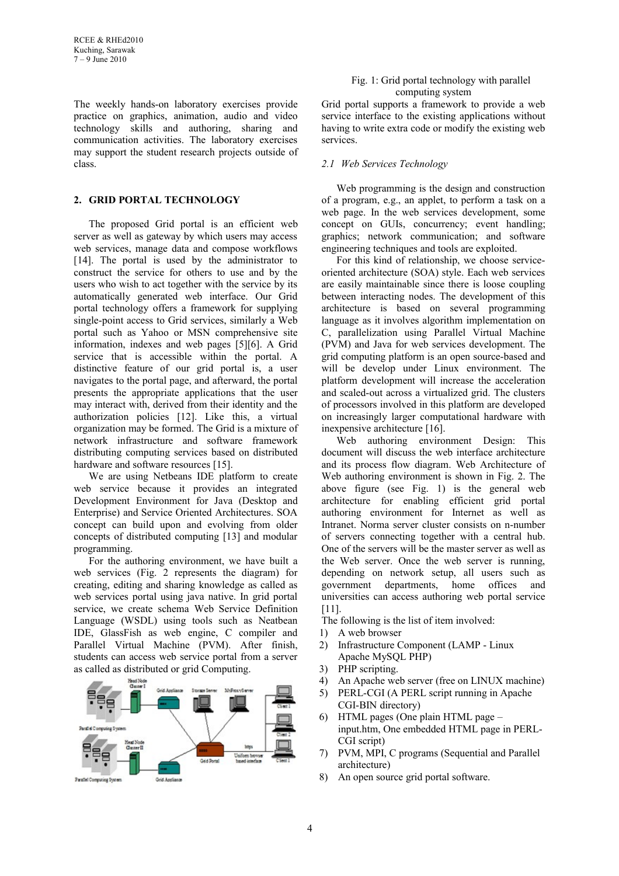The weekly hands-on laboratory exercises provide practice on graphics, animation, audio and video technology skills and authoring, sharing and communication activities. The laboratory exercises may support the student research projects outside of class.

# **2. GRID PORTAL TECHNOLOGY**

The proposed Grid portal is an efficient web server as well as gateway by which users may access web services, manage data and compose workflows [14]. The portal is used by the administrator to construct the service for others to use and by the users who wish to act together with the service by its automatically generated web interface. Our Grid portal technology offers a framework for supplying single-point access to Grid services, similarly a Web portal such as Yahoo or MSN comprehensive site information, indexes and web pages [5][6]. A Grid service that is accessible within the portal. A distinctive feature of our grid portal is, a user navigates to the portal page, and afterward, the portal presents the appropriate applications that the user may interact with, derived from their identity and the authorization policies [12]. Like this, a virtual organization may be formed. The Grid is a mixture of network infrastructure and software framework distributing computing services based on distributed hardware and software resources [15].

We are using Netbeans IDE platform to create web service because it provides an integrated Development Environment for Java (Desktop and Enterprise) and Service Oriented Architectures. SOA concept can build upon and evolving from older concepts of distributed computing [13] and modular programming.

For the authoring environment, we have built a web services (Fig. 2 represents the diagram) for creating, editing and sharing knowledge as called as web services portal using java native. In grid portal service, we create schema Web Service Definition Language (WSDL) using tools such as Neatbean IDE, GlassFish as web engine, C compiler and Parallel Virtual Machine (PVM). After finish, students can access web service portal from a server as called as distributed or grid Computing.



#### Fig. 1: Grid portal technology with parallel computing system

Grid portal supports a framework to provide a web service interface to the existing applications without having to write extra code or modify the existing web services.

## *2.1 Web Services Technology*

Web programming is the design and construction of a program, e.g., an applet, to perform a task on a web page. In the web services development, some concept on GUIs, concurrency; event handling; graphics; network communication; and software engineering techniques and tools are exploited.

For this kind of relationship, we choose serviceoriented architecture (SOA) style. Each web services are easily maintainable since there is loose coupling between interacting nodes. The development of this architecture is based on several programming language as it involves algorithm implementation on C, parallelization using Parallel Virtual Machine (PVM) and Java for web services development. The grid computing platform is an open source-based and will be develop under Linux environment. The platform development will increase the acceleration and scaled-out across a virtualized grid. The clusters of processors involved in this platform are developed on increasingly larger computational hardware with inexpensive architecture [16].

Web authoring environment Design: This document will discuss the web interface architecture and its process flow diagram. Web Architecture of Web authoring environment is shown in Fig. 2. The above figure (see Fig. 1) is the general web architecture for enabling efficient grid portal authoring environment for Internet as well as Intranet. Norma server cluster consists on n-number of servers connecting together with a central hub. One of the servers will be the master server as well as the Web server. Once the web server is running, depending on network setup, all users such as government departments, home offices and universities can access authoring web portal service [11].

- The following is the list of item involved:
- 1) A web browser
- 2) Infrastructure Component (LAMP Linux Apache MySQL PHP)
- 3) PHP scripting.
- 4) An Apache web server (free on LINUX machine)
- 5) PERL-CGI (A PERL script running in Apache CGI-BIN directory)
- 6) HTML pages (One plain HTML page input.htm, One embedded HTML page in PERL-CGI script)
- 7) PVM, MPI, C programs (Sequential and Parallel architecture)
- 8) An open source grid portal software.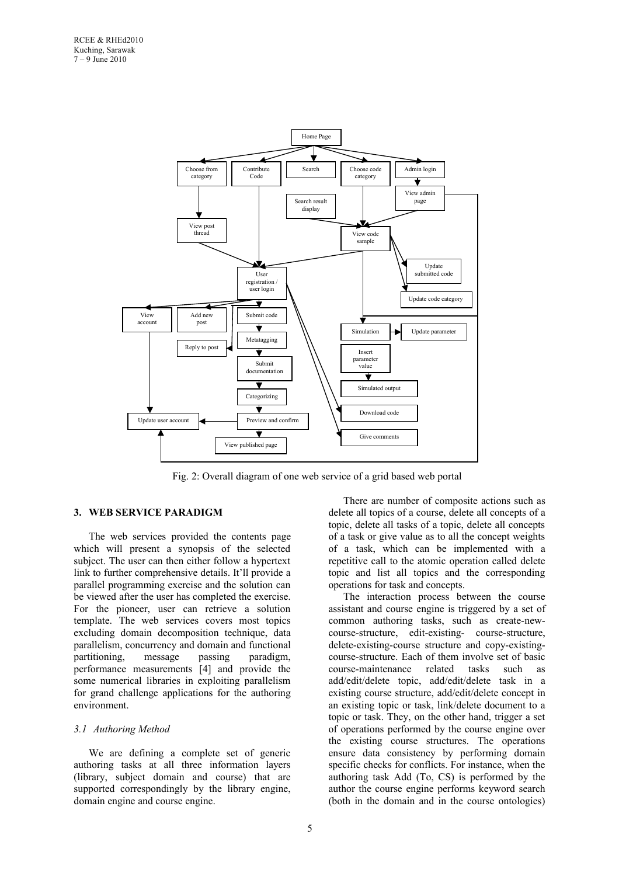

Fig. 2: Overall diagram of one web service of a grid based web portal

## **3. WEB SERVICE PARADIGM**

The web services provided the contents page which will present a synopsis of the selected subject. The user can then either follow a hypertext link to further comprehensive details. It'll provide a parallel programming exercise and the solution can be viewed after the user has completed the exercise. For the pioneer, user can retrieve a solution template. The web services covers most topics excluding domain decomposition technique, data parallelism, concurrency and domain and functional partitioning, message passing paradigm, performance measurements [4] and provide the some numerical libraries in exploiting parallelism for grand challenge applications for the authoring environment.

## *3.1 Authoring Method*

We are defining a complete set of generic authoring tasks at all three information layers (library, subject domain and course) that are supported correspondingly by the library engine, domain engine and course engine.

There are number of composite actions such as delete all topics of a course, delete all concepts of a topic, delete all tasks of a topic, delete all concepts of a task or give value as to all the concept weights of a task, which can be implemented with a repetitive call to the atomic operation called delete topic and list all topics and the corresponding operations for task and concepts.

The interaction process between the course assistant and course engine is triggered by a set of common authoring tasks, such as create-newcourse-structure, edit-existing- course-structure, delete-existing-course structure and copy-existingcourse-structure. Each of them involve set of basic course-maintenance related tasks such as add/edit/delete topic, add/edit/delete task in a existing course structure, add/edit/delete concept in an existing topic or task, link/delete document to a topic or task. They, on the other hand, trigger a set of operations performed by the course engine over the existing course structures. The operations ensure data consistency by performing domain specific checks for conflicts. For instance, when the authoring task Add (To, CS) is performed by the author the course engine performs keyword search (both in the domain and in the course ontologies)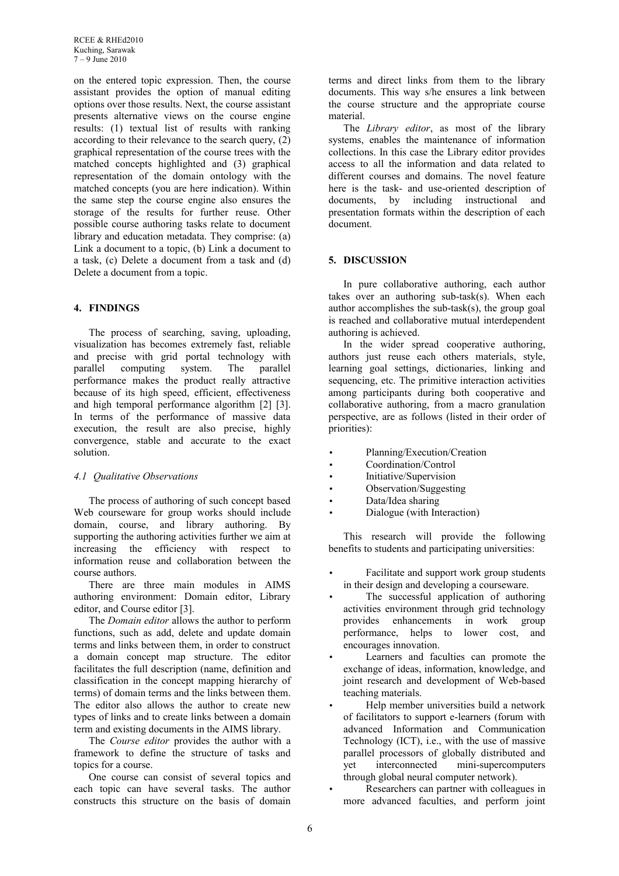RCEE & RHEd2010 Kuching, Sarawak 7 – 9 June 2010

on the entered topic expression. Then, the course assistant provides the option of manual editing options over those results. Next, the course assistant presents alternative views on the course engine results: (1) textual list of results with ranking according to their relevance to the search query, (2) graphical representation of the course trees with the matched concepts highlighted and (3) graphical representation of the domain ontology with the matched concepts (you are here indication). Within the same step the course engine also ensures the storage of the results for further reuse. Other possible course authoring tasks relate to document library and education metadata. They comprise: (a) Link a document to a topic, (b) Link a document to a task, (c) Delete a document from a task and (d) Delete a document from a topic.

# **4. FINDINGS**

The process of searching, saving, uploading, visualization has becomes extremely fast, reliable and precise with grid portal technology with parallel computing system. The parallel performance makes the product really attractive because of its high speed, efficient, effectiveness and high temporal performance algorithm [2] [3]. In terms of the performance of massive data execution, the result are also precise, highly convergence, stable and accurate to the exact solution.

## *4.1 Qualitative Observations*

The process of authoring of such concept based Web courseware for group works should include domain, course, and library authoring. By supporting the authoring activities further we aim at increasing the efficiency with respect to information reuse and collaboration between the course authors.

There are three main modules in AIMS authoring environment: Domain editor, Library editor, and Course editor [3].

The *Domain editor* allows the author to perform functions, such as add, delete and update domain terms and links between them, in order to construct a domain concept map structure. The editor facilitates the full description (name, definition and classification in the concept mapping hierarchy of terms) of domain terms and the links between them. The editor also allows the author to create new types of links and to create links between a domain term and existing documents in the AIMS library.

The *Course editor* provides the author with a framework to define the structure of tasks and topics for a course.

One course can consist of several topics and each topic can have several tasks. The author constructs this structure on the basis of domain

terms and direct links from them to the library documents. This way s/he ensures a link between the course structure and the appropriate course material.

The *Library editor*, as most of the library systems, enables the maintenance of information collections. In this case the Library editor provides access to all the information and data related to different courses and domains. The novel feature here is the task- and use-oriented description of documents, by including instructional and presentation formats within the description of each document.

## **5. DISCUSSION**

In pure collaborative authoring, each author takes over an authoring sub-task(s). When each author accomplishes the sub-task(s), the group goal is reached and collaborative mutual interdependent authoring is achieved.

In the wider spread cooperative authoring, authors just reuse each others materials, style, learning goal settings, dictionaries, linking and sequencing, etc. The primitive interaction activities among participants during both cooperative and collaborative authoring, from a macro granulation perspective, are as follows (listed in their order of priorities):

- Planning/Execution/Creation
- Coordination/Control
- Initiative/Supervision
- Observation/Suggesting
- Data/Idea sharing
- Dialogue (with Interaction)

This research will provide the following benefits to students and participating universities:

- Facilitate and support work group students in their design and developing a courseware.
- The successful application of authoring activities environment through grid technology provides enhancements in work group performance, helps to lower cost, and encourages innovation.
- Learners and faculties can promote the exchange of ideas, information, knowledge, and joint research and development of Web-based teaching materials.
- Help member universities build a network of facilitators to support e-learners (forum with advanced Information and Communication Technology (ICT), i.e., with the use of massive parallel processors of globally distributed and yet interconnected mini-supercomputers through global neural computer network).
- Researchers can partner with colleagues in more advanced faculties, and perform joint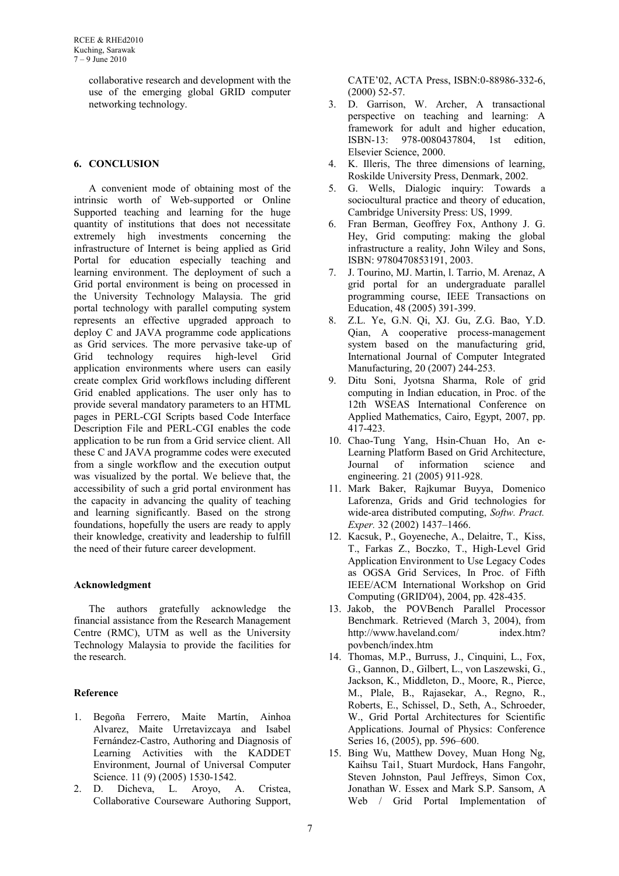collaborative research and development with the use of the emerging global GRID computer networking technology.

## **6. CONCLUSION**

A convenient mode of obtaining most of the intrinsic worth of Web-supported or Online Supported teaching and learning for the huge quantity of institutions that does not necessitate extremely high investments concerning the infrastructure of Internet is being applied as Grid Portal for education especially teaching and learning environment. The deployment of such a Grid portal environment is being on processed in the University Technology Malaysia. The grid portal technology with parallel computing system represents an effective upgraded approach to deploy C and JAVA programme code applications as Grid services. The more pervasive take-up of Grid technology requires high-level Grid application environments where users can easily create complex Grid workflows including different Grid enabled applications. The user only has to provide several mandatory parameters to an HTML pages in PERL-CGI Scripts based Code Interface Description File and PERL-CGI enables the code application to be run from a Grid service client. All these C and JAVA programme codes were executed from a single workflow and the execution output was visualized by the portal. We believe that, the accessibility of such a grid portal environment has the capacity in advancing the quality of teaching and learning significantly. Based on the strong foundations, hopefully the users are ready to apply their knowledge, creativity and leadership to fulfill the need of their future career development.

#### **Acknowledgment**

The authors gratefully acknowledge the financial assistance from the Research Management Centre (RMC), UTM as well as the University Technology Malaysia to provide the facilities for the research.

## **Reference**

- 1. Begoña Ferrero, Maite Martín, Ainhoa Alvarez, Maite Urretavizcaya and Isabel Fernández-Castro, Authoring and Diagnosis of Learning Activities with the KADDET Environment, Journal of Universal Computer Science. 11 (9) (2005) 1530-1542.
- 2. D. Dicheva, L. Aroyo, A. Cristea, Collaborative Courseware Authoring Support,

CATE'02, ACTA Press, ISBN:0-88986-332-6, (2000) 52-57.

- 3. D. Garrison, W. Archer, A transactional perspective on teaching and learning: A framework for adult and higher education, ISBN-13: 978-0080437804, 1st edition, Elsevier Science, 2000.
- 4. K. Illeris, The three dimensions of learning, Roskilde University Press, Denmark, 2002.
- 5. G. Wells, Dialogic inquiry: Towards a sociocultural practice and theory of education, Cambridge University Press: US, 1999.
- 6. Fran Berman, Geoffrey Fox, Anthony J. G. Hey, Grid computing: making the global infrastructure a reality, John Wiley and Sons, ISBN: 9780470853191, 2003.
- 7. J. Tourino, MJ. Martin, l. Tarrio, M. Arenaz, A grid portal for an undergraduate parallel programming course, IEEE Transactions on Education, 48 (2005) 391-399.
- 8. Z.L. Ye, G.N. Qi, XJ. Gu, Z.G. Bao, Y.D. Qian, A cooperative process-management system based on the manufacturing grid, International Journal of Computer Integrated Manufacturing, 20 (2007) 244-253.
- 9. Ditu Soni, Jyotsna Sharma, Role of grid computing in Indian education, in Proc. of the 12th WSEAS International Conference on Applied Mathematics, Cairo, Egypt, 2007, pp. 417-423.
- 10. Chao-Tung Yang, Hsin-Chuan Ho, An e-Learning Platform Based on Grid Architecture, Journal of information science and engineering. 21 (2005) 911-928.
- 11. Mark Baker, Rajkumar Buyya, Domenico Laforenza, Grids and Grid technologies for wide-area distributed computing, *Softw. Pract. Exper.* 32 (2002) 1437–1466.
- 12. Kacsuk, P., Goyeneche, A., Delaitre, T., Kiss, T., Farkas Z., Boczko, T., High-Level Grid Application Environment to Use Legacy Codes as OGSA Grid Services, In Proc. of Fifth IEEE/ACM International Workshop on Grid Computing (GRID'04), 2004, pp. 428-435.
- 13. Jakob, the POVBench Parallel Processor Benchmark. Retrieved (March 3, 2004), from http://www.haveland.com/ index.htm? povbench/index.htm
- 14. Thomas, M.P., Burruss, J., Cinquini, L., Fox, G., Gannon, D., Gilbert, L., von Laszewski, G., Jackson, K., Middleton, D., Moore, R., Pierce, M., Plale, B., Rajasekar, A., Regno, R., Roberts, E., Schissel, D., Seth, A., Schroeder, W., Grid Portal Architectures for Scientific Applications. Journal of Physics: Conference Series 16, (2005), pp. 596–600.
- 15. Bing Wu, Matthew Dovey, Muan Hong Ng, Kaihsu Tai1, Stuart Murdock, Hans Fangohr, Steven Johnston, Paul Jeffreys, Simon Cox, Jonathan W. Essex and Mark S.P. Sansom, A Web / Grid Portal Implementation of